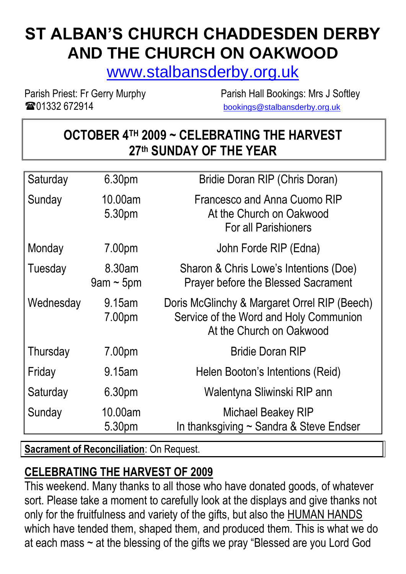# **ST ALBAN'S CHURCH CHADDESDEN DERBY AND THE CHURCH ON OAKWOOD**

[www.stalbansderby.org.uk](http://www.stalbansderby.org.uk/)

**TO 201332 672914** [bookings@stalbansderby.org.uk](mailto:bookings@stalbansderby.org.uk)

Parish Priest: Fr Gerry Murphy Parish Hall Bookings: Mrs J Softley

### **OCTOBER 4TH 2009 ~ CELEBRATING THE HARVEST 27 th SUNDAY OF THE YEAR**

| Saturday  | 6.30pm                    | Bridie Doran RIP (Chris Doran)                                                                                     |
|-----------|---------------------------|--------------------------------------------------------------------------------------------------------------------|
| Sunday    | 10.00am<br>5.30pm         | Francesco and Anna Cuomo RIP<br>At the Church on Oakwood<br><b>For all Parishioners</b>                            |
| Monday    | 7.00pm                    | John Forde RIP (Edna)                                                                                              |
| Tuesday   | 8.30am<br>$9$ am ~ $5$ pm | Sharon & Chris Lowe's Intentions (Doe)<br><b>Prayer before the Blessed Sacrament</b>                               |
| Wednesday | 9.15am<br>7.00pm          | Doris McGlinchy & Margaret Orrel RIP (Beech)<br>Service of the Word and Holy Communion<br>At the Church on Oakwood |
| Thursday  | 7.00pm                    | <b>Bridie Doran RIP</b>                                                                                            |
| Friday    | 9.15am                    | Helen Booton's Intentions (Reid)                                                                                   |
| Saturday  | 6.30pm                    | Walentyna Sliwinski RIP ann                                                                                        |
| Sunday    | 10.00am<br>5.30pm         | <b>Michael Beakey RIP</b><br>In thanksgiving $\sim$ Sandra & Steve Endser                                          |

**Sacrament of Reconciliation: On Request.** 

# **CELEBRATING THE HARVEST OF 2009**

This weekend. Many thanks to all those who have donated goods, of whatever sort. Please take a moment to carefully look at the displays and give thanks not only for the fruitfulness and variety of the gifts, but also the **HUMAN HANDS** which have tended them, shaped them, and produced them. This is what we do at each mass ~ at the blessing of the gifts we pray "Blessed are you Lord God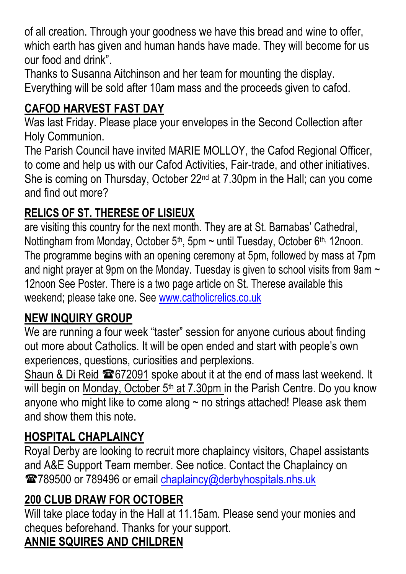of all creation. Through your goodness we have this bread and wine to offer, which earth has given and human hands have made. They will become for us our food and drink".

Thanks to Susanna Aitchinson and her team for mounting the display. Everything will be sold after 10am mass and the proceeds given to cafod.

# **CAFOD HARVEST FAST DAY**

Was last Friday. Please place your envelopes in the Second Collection after Holy Communion.

The Parish Council have invited MARIE MOLLOY, the Cafod Regional Officer, to come and help us with our Cafod Activities, Fair-trade, and other initiatives. She is coming on Thursday, October 22nd at 7.30pm in the Hall; can you come and find out more?

# **RELICS OF ST. THERESE OF LISIEUX**

are visiting this country for the next month. They are at St. Barnabas' Cathedral, Nottingham from Monday, October 5<sup>th</sup>, 5pm  $\sim$  until Tuesday, October 6<sup>th,</sup> 12noon. The programme begins with an opening ceremony at 5pm, followed by mass at 7pm and night prayer at 9pm on the Monday. Tuesday is given to school visits from 9am  $\sim$ 12noon See Poster. There is a two page article on St. Therese available this weekend; please take one. See [www.catholicrelics.co.uk](http://www.catholicrelics.co.uk/)

# **NEW INQUIRY GROUP**

We are running a four week "taster" session for anyone curious about finding out more about Catholics. It will be open ended and start with people's own experiences, questions, curiosities and perplexions.

Shaun & Di Reid  $\blacksquare$  672091 spoke about it at the end of mass last weekend. It will begin on Monday, October 5<sup>th</sup> at 7.30pm in the Parish Centre. Do you know anyone who might like to come along  $\sim$  no strings attached! Please ask them and show them this note.

# **HOSPITAL CHAPLAINCY**

Royal Derby are looking to recruit more chaplaincy visitors, Chapel assistants and A&E Support Team member. See notice. Contact the Chaplaincy on 2789500 or 789496 or email [chaplaincy@derbyhospitals.nhs.uk](mailto:chaplaincy@derbyhospitals.nhs.uk)

# **200 CLUB DRAW FOR OCTOBER**

Will take place today in the Hall at 11.15am. Please send your monies and cheques beforehand. Thanks for your support.

# **ANNIE SQUIRES AND CHILDREN**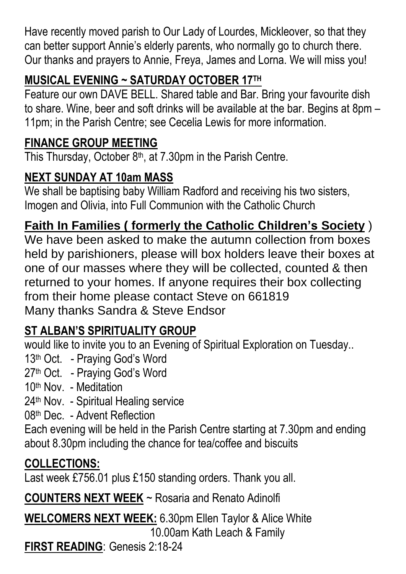Have recently moved parish to Our Lady of Lourdes, Mickleover, so that they can better support Annie's elderly parents, who normally go to church there. Our thanks and prayers to Annie, Freya, James and Lorna. We will miss you!

# **MUSICAL EVENING ~ SATURDAY OCTOBER 17TH**

Feature our own DAVE BELL. Shared table and Bar. Bring your favourite dish to share. Wine, beer and soft drinks will be available at the bar. Begins at 8pm – 11pm; in the Parish Centre; see Cecelia Lewis for more information.

#### **FINANCE GROUP MEETING**

This Thursday, October  $8<sup>th</sup>$ , at 7.30pm in the Parish Centre.

# **NEXT SUNDAY AT 10am MASS**

We shall be baptising baby William Radford and receiving his two sisters, Imogen and Olivia, into Full Communion with the Catholic Church

# **Faith In Families ( formerly the Catholic Children's Society** )

We have been asked to make the autumn collection from boxes held by parishioners, please will box holders leave their boxes at one of our masses where they will be collected, counted & then returned to your homes. If anyone requires their box collecting from their home please contact Steve on 661819 Many thanks Sandra & Steve Endsor

# **ST ALBAN'S SPIRITUALITY GROUP**

would like to invite you to an Evening of Spiritual Exploration on Tuesday..

- 13<sup>th</sup> Oct. Praying God's Word
- 27th Oct. Praying God's Word
- 10th Nov. Meditation
- 24<sup>th</sup> Nov. Spiritual Healing service
- 08th Dec. Advent Reflection

Each evening will be held in the Parish Centre starting at 7.30pm and ending about 8.30pm including the chance for tea/coffee and biscuits

# **COLLECTIONS:**

Last week £756.01 plus £150 standing orders. Thank you all.

**COUNTERS NEXT WEEK** ~ Rosaria and Renato Adinolfi

**WELCOMERS NEXT WEEK:** 6.30pm Ellen Taylor & Alice White 10.00am Kath Leach & Family

**FIRST READING**: Genesis 2:18-24